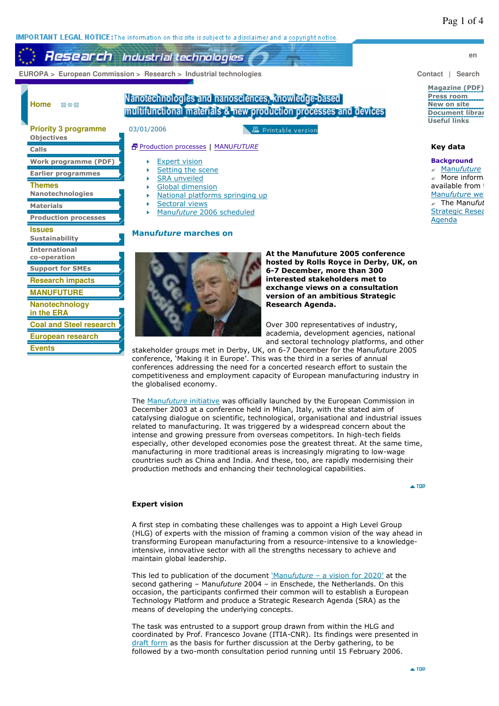**IMPORTANT LEGAL NOTICE:** The information on this site is subject to a disclaimer and a copyright notice.

# **Research** Industrial technologies

 **EUROPA > European Commission > Research > Industrial technologies Contact | Search** 

**Home**  $0.0 - 0.$ 

# Nanotechnologies and nanosciences, knowledge-based multifunctional materials & new production processes and devices

| J.<br><b>Priority 3 programme</b><br>Objectives |
|-------------------------------------------------|
| Calls                                           |
| Nork<br>progra                                  |
| Earlier programmes                              |
| Themes<br>Nanotechnologies                      |
| Materials                                       |
| <b>Production processes</b>                     |
| Issues<br>Sustainability                        |
| <b>International</b><br>co-operation            |
| <b>Support for SMEs</b>                         |
| <b>Research impacts</b>                         |
| IEITHRE                                         |
| Nanotechnology                                  |
|                                                 |
| European research                               |

**Events**

03/01/2006 **且 Printable version** 

# Production processes | MANU*FUTURE*

- Expert vision
- j. Setting the scene
- SRA unveiled k
- ĥ. Global dimension
- National platforms springing up
- ĥ. Sectoral views
- ĥ. Manu*future* 2006 scheduled

# **Manu***future* **marches on**



**At the Manufuture 2005 conference hosted by Rolls Royce in Derby, UK, on 6-7 December, more than 300 interested stakeholders met to exchange views on a consultation version of an ambitious Strategic Research Agenda.**

Over 300 representatives of industry, academia, development agencies, national and sectoral technology platforms, and other

stakeholder groups met in Derby, UK, on 6-7 December for the Manu*future* 2005 conference, 'Making it in Europe'. This was the third in a series of annual conferences addressing the need for a concerted research effort to sustain the competitiveness and employment capacity of European manufacturing industry in the globalised economy.

The Manu*future* initiative was officially launched by the European Commission in December 2003 at a conference held in Milan, Italy, with the stated aim of catalysing dialogue on scientific, technological, organisational and industrial issues related to manufacturing. It was triggered by a widespread concern about the intense and growing pressure from overseas competitors. In high-tech fields especially, other developed economies pose the greatest threat. At the same time, manufacturing in more traditional areas is increasingly migrating to low-wage countries such as China and India. And these, too, are rapidly modernising their production methods and enhancing their technological capabilities.

 $\triangle$  TOP

## **Expert vision**

A first step in combating these challenges was to appoint a High Level Group (HLG) of experts with the mission of framing a common vision of the way ahead in transforming European manufacturing from a resource-intensive to a knowledgeintensive, innovative sector with all the strengths necessary to achieve and maintain global leadership.

This led to publication of the document 'Manu*future* – a vision for 2020' at the second gathering – Manu*future* 2004 – in Enschede, the Netherlands. On this occasion, the participants confirmed their common will to establish a European Technology Platform and produce a Strategic Research Agenda (SRA) as the means of developing the underlying concepts.

The task was entrusted to a support group drawn from within the HLG and coordinated by Prof. Francesco Jovane (ITIA-CNR). Its findings were presented in draft form as the basis for further discussion at the Derby gathering, to be followed by a two-month consultation period running until 15 February 2006.

**en**

#### **Magazine (PDF) Press room New on site Document librar Useful links**

## **Key data**

### **Background**

? Manu*future*  $\mathbb Z$  More inform available from the Manu*future* we The Manufut Strategic Resea Agenda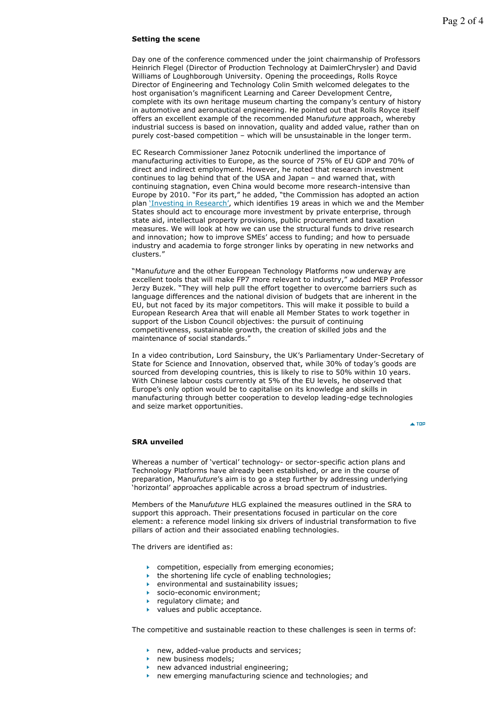#### **Setting the scene**

Day one of the conference commenced under the joint chairmanship of Professors Heinrich Flegel (Director of Production Technology at DaimlerChrysler) and David Williams of Loughborough University. Opening the proceedings, Rolls Royce Director of Engineering and Technology Colin Smith welcomed delegates to the host organisation's magnificent Learning and Career Development Centre, complete with its own heritage museum charting the company's century of history in automotive and aeronautical engineering. He pointed out that Rolls Royce itself offers an excellent example of the recommended Manu*future* approach, whereby industrial success is based on innovation, quality and added value, rather than on purely cost-based competition – which will be unsustainable in the longer term.

EC Research Commissioner Janez Potocnik underlined the importance of manufacturing activities to Europe, as the source of 75% of EU GDP and 70% of direct and indirect employment. However, he noted that research investment continues to lag behind that of the USA and Japan – and warned that, with continuing stagnation, even China would become more research-intensive than Europe by 2010. "For its part," he added, "the Commission has adopted an action plan 'Investing in Research', which identifies 19 areas in which we and the Member States should act to encourage more investment by private enterprise, through state aid, intellectual property provisions, public procurement and taxation measures. We will look at how we can use the structural funds to drive research and innovation; how to improve SMEs' access to funding; and how to persuade industry and academia to forge stronger links by operating in new networks and clusters."

"Manu*future* and the other European Technology Platforms now underway are excellent tools that will make FP7 more relevant to industry," added MEP Professor Jerzy Buzek. "They will help pull the effort together to overcome barriers such as language differences and the national division of budgets that are inherent in the EU, but not faced by its major competitors. This will make it possible to build a European Research Area that will enable all Member States to work together in support of the Lisbon Council objectives: the pursuit of continuing competitiveness, sustainable growth, the creation of skilled jobs and the maintenance of social standards."

In a video contribution, Lord Sainsbury, the UK's Parliamentary Under-Secretary of State for Science and Innovation, observed that, while 30% of today's goods are sourced from developing countries, this is likely to rise to 50% within 10 years. With Chinese labour costs currently at 5% of the EU levels, he observed that Europe's only option would be to capitalise on its knowledge and skills in manufacturing through better cooperation to develop leading-edge technologies and seize market opportunities.

 $\blacktriangle$  TOP

#### **SRA unveiled**

Whereas a number of 'vertical' technology- or sector-specific action plans and Technology Platforms have already been established, or are in the course of preparation, Manu*future*'s aim is to go a step further by addressing underlying 'horizontal' approaches applicable across a broad spectrum of industries.

Members of the Manu*future* HLG explained the measures outlined in the SRA to support this approach. Their presentations focused in particular on the core element: a reference model linking six drivers of industrial transformation to five pillars of action and their associated enabling technologies.

The drivers are identified as:

- **Competition, especially from emerging economies:**
- $\blacktriangleright$  the shortening life cycle of enabling technologies;
- **PED ATTE:** environmental and sustainability issues;
- socio-economic environment;
- **P** regulatory climate; and
- values and public acceptance.

The competitive and sustainable reaction to these challenges is seen in terms of:

- **new, added-value products and services;**
- **new business models;**
- $\blacksquare$  new advanced industrial engineering;
- **new emerging manufacturing science and technologies; and**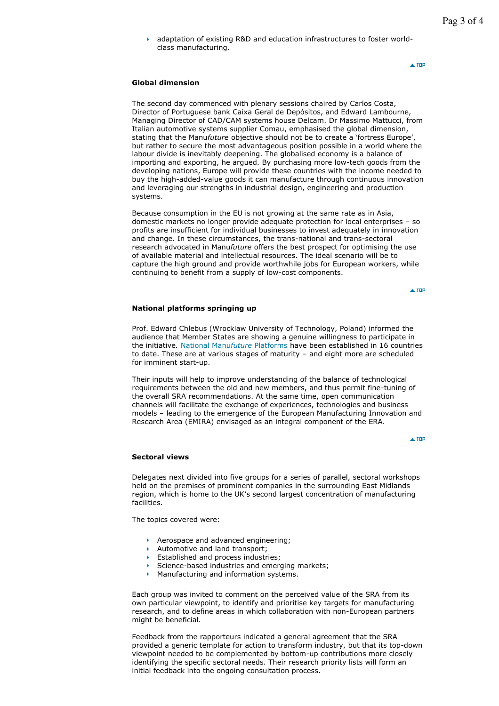adaptation of existing R&D and education infrastructures to foster worldclass manufacturing.

 $\blacktriangle$  TOD

## **Global dimension**

The second day commenced with plenary sessions chaired by Carlos Costa, Director of Portuguese bank Caixa Geral de Depósitos, and Edward Lambourne, Managing Director of CAD/CAM systems house Delcam. Dr Massimo Mattucci, from Italian automotive systems supplier Comau, emphasised the global dimension, stating that the Manu*future* objective should not be to create a 'fortress Europe', but rather to secure the most advantageous position possible in a world where the labour divide is inevitably deepening. The globalised economy is a balance of importing and exporting, he argued. By purchasing more low-tech goods from the developing nations, Europe will provide these countries with the income needed to buy the high-added-value goods it can manufacture through continuous innovation and leveraging our strengths in industrial design, engineering and production systems.

Because consumption in the EU is not growing at the same rate as in Asia, domestic markets no longer provide adequate protection for local enterprises – so profits are insufficient for individual businesses to invest adequately in innovation and change. In these circumstances, the trans-national and trans-sectoral research advocated in Manu*future* offers the best prospect for optimising the use of available material and intellectual resources. The ideal scenario will be to capture the high ground and provide worthwhile jobs for European workers, while continuing to benefit from a supply of low-cost components.

 $\triangle$  TOP

#### **National platforms springing up**

Prof. Edward Chlebus (Wrocklaw University of Technology, Poland) informed the audience that Member States are showing a genuine willingness to participate in the initiative*.* National Manu*future* Platforms have been established in 16 countries to date. These are at various stages of maturity – and eight more are scheduled for imminent start-up.

Their inputs will help to improve understanding of the balance of technological requirements between the old and new members, and thus permit fine-tuning of the overall SRA recommendations. At the same time, open communication channels will facilitate the exchange of experiences, technologies and business models – leading to the emergence of the European Manufacturing Innovation and Research Area (EMIRA) envisaged as an integral component of the ERA.

 $\triangle$  TOD

#### **Sectoral views**

Delegates next divided into five groups for a series of parallel, sectoral workshops held on the premises of prominent companies in the surrounding East Midlands region, which is home to the UK's second largest concentration of manufacturing facilities.

The topics covered were:

- Aerospace and advanced engineering;
- Automotive and land transport:
- Established and process industries;
- Science-based industries and emerging markets;
- **Manufacturing and information systems.**

Each group was invited to comment on the perceived value of the SRA from its own particular viewpoint, to identify and prioritise key targets for manufacturing research, and to define areas in which collaboration with non-European partners might be beneficial.

Feedback from the rapporteurs indicated a general agreement that the SRA provided a generic template for action to transform industry, but that its top-down viewpoint needed to be complemented by bottom-up contributions more closely identifying the specific sectoral needs. Their research priority lists will form an initial feedback into the ongoing consultation process.